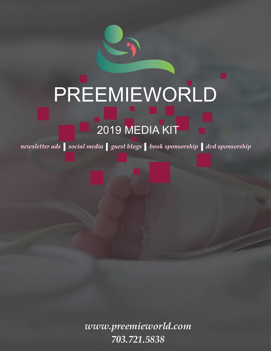# PREEMIEWORLD

### 2019 MEDIA KIT

*newsletter ads social media guest blogs book sponsorship dvd sponsorship newsletter ads social media guest blogs book sponsorship dvd sponsorship*

*[www.preemieworld.com](https://preemieworld.com) 703.721.5838*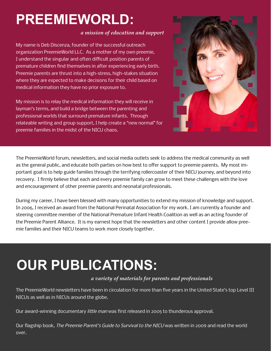### **PREEMIEWORLD:**

#### *a mission of education and support*

My name is Deb Discenza, founder of the successful outreach organization PreemieWorld LLC. As a mother of my own preemie, I understand the singular and often difficult position parents of premature children find themselves in after experiencing early birth. Preemie parents are thrust into a high-stress, high-stakes situation where they are expected to make decisions for their child based on medical information they have no prior exposure to.

My mission is to relay the medical information they will receive in layman's terms, and build a bridge between the parenting and professional worlds that surround premature infants. Through relateable writing and group support, I help create a "new normal" for preemie families in the midst of the NICU chaos.



The PreemieWorld forum, newsletters, and social media outlets seek to address the medical community as well as the general public, and educate both parties on how best to offer support to preemie parents. My most important goal is to help guide families through the terrifying rollercoaster of their NICU journey, and beyond into recovery. I firmly believe that each and every preemie family can grow to meet these challenges with the love and encouragement of other preemie parents and neonatal professionals.

During my career, I have been blessed with many opportunities to extend my mission of knowledge and support. In 2006, I received an award from the National Perinatal Association for my work. I am currently a founder and steering committee member of the National Premature Infant Health Coalition as well as an acting founder of the Preemie Parent Alliance. It is my earnest hope that the newsletters and other content I provide allow preemie families and their NICU teams to work more closely together.

## **OUR PUBLICATIONS:**

#### *a variety of materials for parents and professionals*

The PreemieWorld newsletters have been in circulation for more than five years in the United State's top Level III NICUs as well as in NICUs around the globe.

Our award-winning documentary *little man* was first released in 2005 to thunderous approval.

Our flagship book, The Preemie Parent's Guide to Survival to the NICU was written in 2009 and read the world over.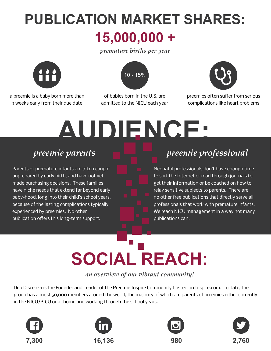# **15,000,000 + PUBLICATION MARKET SHARES:**

*premature births per year*



a preemie is a baby born more than 3 weeks early from their due date



of babies born in the U.S. are admitted to the NICU each year



preemies often suffer from serious complications like heart problems

# **AUDIENCE:**

Parents of premature infants are often caught unprepared by early birth, and have not yet made purchasing decisions. These families have niche needs that extend far beyond early baby-hood, long into their child's school years, because of the lasting complications typically experienced by preemies. No other publication offers this long-term support.

### *preemie parents preemie professional*

Neonatal professionals don't have enough time to surf the Internet or read through journals to get their information or be coached on how to relay sensitive subjects to parents. There are no other free publications that directly serve all professionals that work with premature infants. We reach NICU management in a way not many publications can.

# **SOCIAL REACH:**

### *an overview of our vibrant community!*

Deb Discenza is the Founder and Leader of the Preemie Inspire Community hosted on Inspire.com. To date, the group has almost 50,000 members around the world, the majority of which are parents of preemies either currently in the NICU/PICU or at home and working through the school years.







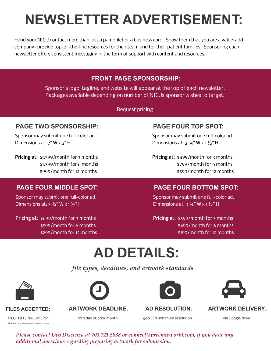# **NEWSLETTER ADVERTISEMENT:**

Hand your NICU contact more than just a pamphlet or a business card. Show them that you are a value-add company- provide top-of-the-line resources for their team and for their patient families. Sponsoring each newsletter offers consistent messaging in the form of support with content and resources.

#### **FRONT PAGE SPONSORSHIP:**

Sponsor's logo, tagline, and website will appear at the top of each newsletter. Packages available depending on number of NICUs sponsor wishes to target.

~ Request pricing ~

#### **PAGE TWO SPONSORSHIP:**

Sponsor may submit one full-color ad. Dimensions at: 7" W x 3" H

Pricing at: \$1,599/month for 3 months \$1,399/month for 6 months \$999/month for 12 months

#### **PAGE FOUR MIDDLE SPOT:**

Sponsor may submit one full-color ad. Dimensions at:  $3\frac{3}{4}$ " W x 1  $\frac{1}{2}$ " H

Pricing at: \$699/month for 3 months \$599/month for 6 months \$299/month for 12 months

#### **PAGE FOUR TOP SPOT:**

Sponsor may submit one full-color ad Dimensions at: 3 ¾" W x 1 ½" H

Pricing at: \$899/month for 3 months \$799/month for 6 months \$599/month for 12 months

#### **PAGE FOUR BOTTOM SPOT:**

Sponsor may submit one full-color ad. Dimensions at:  $3\frac{3}{4}$ " W x 1  $\frac{1}{2}$ " H

Pricing at: \$599/month for 3 months \$499/month for 6 months \$199/month for 12 months

### **AD DETAILS:**

*file types, deadlines, and artwork standards*





*\*EPS files may be required for certain needs*



**ARTWORK DEADLINE:** 





JPEG, TIFF, PNG, or EPS\* 10th day of prior month 600 DPI minimum resolution via Google drive



**ARTWORK DELIVERY:** 

*Please contact Deb Discenza at 703.721.5838 or [connect@preemieworld.com](mailto:connect%40preemieworld.com?subject=PreemieWorld%20Artwork%20Submission%20Questions), if you have any additional questions regarding preparing artwork for submission.*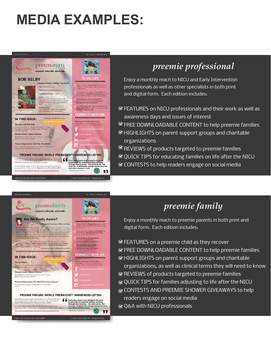

preemiefamily support. educate. advocate.

**Prematurity Austreness is M** 

Look for worldwide er

PREEMIE FREEBIE: WORLD PREMATURITY AWARENESS LISTING eld gesides a surface of the landows to be used to the NCU state.<br>the "Trades for You" pape of our exchange. This member feature is a set of the advocante for presentie families works<br>through their journey. The more we do

**Are We Really Aware?** 

o make a difference by gening into<br>aal Caalisian for Infant Health A

mie Organization: The TEACUP Preemie Prog clping o

al listing constance to grow and incorporate more and re<br>g worldwide. Check it out here: *http://preemie.an/Pr* You can also find this freebie and wore at bttps://preemieworld.com

Follow so on Facebook, Turitter, and Linkedin!

IN THIS ISSUE:

**Preemie Genius: Lifenest Mattress** We highlight the latest Preemic Genius product that is making a<br>difference with preemies everywhere. **TO DO LIS** 

**CONNECT WITH US:** 

in

ö,

dra

### *preemie professional*

Enjoy a monthly reach to NICU and Early Intervention professionals as well as other specialists in both print and digital form. Each edition includes:

- $\Phi$  **FEATURES on NICU professionals and their work as well as** awareness days and issues of interest
- $\mathcal G$  FREE DOWNLOADABLE CONTENT to help preemie families
- $✓$  **HIGHLIGHTS on parent support groups and charitable** organizations
- $\mathcal{F}$  REVIEWS of products targeted to preemie families
- $✓$  QUICK TIPS for educating families on life after the NICU
- $✓$  CONTESTS to help readers engage on social media

### *preemie family*

Enjoy a monthly reach to preemie parents in both print and digital form. Each edition includes:

 $✓$  **FEATURES** on a preemie child as they recover  $✓$  **FREE DOWNLOADABLE CONTENT to help preemie families**  $✓$  **HIGHLIGHTS on parent support groups and charitable** organizations, as well as clinical terms they will need to know  $\mathcal G$  REVIEWS of products targeted to preemie families QUICK TIPS for families adjusting to life after the NICU **⊗ CONTESTS AND PREEMIE SHOWER GIVEAWAYS to help** readers engage on social media  $Q$ **&A with NICU professionals**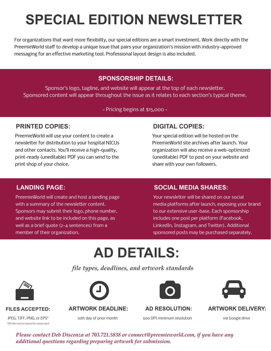# **SPECIAL EDITION NEWSLETTER**

For organizations that want more flexibility, our special editions are a smart investment. Work directly with the PreemieWorld staff to develop a unique issue that pairs your organization's mission with industry-approved messaging for an effective marketing tool. Professional layout design is also included.

### **SPONSORSHIP DETAILS:**

Sponsor's logo, tagline, and website will appear at the top of each newsletter. Sponsored content will appear throughout the issue as it relates to each section's typical theme.

~ Pricing begins at \$15,000 ~

#### **PRINTED COPIES:**

PreemieWorld will use your content to create a newsletter for distribution to your hospital NICUs and other contacts. You'll receive a high-quality, print-ready (uneditable) PDF you can send to the print shop of your choice.

#### **DIGITAL COPIES:**

Your special edition will be hosted on the PreemieWorld site archives after launch. Your organization will also receive a web-optimized (uneditable) PDF to post on your website and share with your own followers.

#### **LANDING PAGE:**

PreemieWorld will create and host a landing page with a summary of the newsletter content. Sponsors may submit their logo, phone number, and website link to be included on this page, as well as a brief quote (2-4 sentences) from a member of their organization.

#### **SOCIAL MEDIA SHARES:**

Your newsletter will be shared on our social media platforms after launch, exposing your brand to our extensive user-base. Each sponsorship includes one post per platform (Facebook, LinkedIn, Instagram, and Twitter). Additional sponsored posts may be purchased separately.

### **AD DETAILS:**

*file types, deadlines, and artwork standards*



**FILES ACCEPTED:** 

*\*EPS files may be required for certain needs*



**ARTWORK DEADLINE:** 





#### **AD RESOLUTION:**

JPEG, TIFF, PNG, or EPS\* 10th day of prior month 600 DPI minimum resolution via Google drive

**ARTWORK DELIVERY:** 

*Please contact Deb Discenza at 703.721.5838 or [connect@preemieworld.com](mailto:connect%40preemieworld.com?subject=PreemieWorld%20Artwork%20Submission%20Questions), if you have any additional questions regarding preparing artwork for submission.*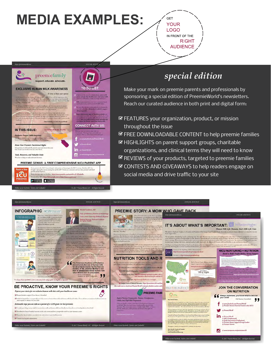



### *special edition*

Make your mark on preemie parents and professionals by sponsoring a special edition of PreemieWorld's newsletters. Reach our curated audience in both print and digital form:

- **FEATURES your organization, product, or mission** throughout the issue
- $✓$  **FREE DOWNLOADABLE CONTENT to help preemie families**
- $✓ HIGHLIGHTS$  **on parent support groups, charitable** organizations, and clinical terms they will need to know  $\mathcal{B}$  REVIEWS of your products, targeted to preemie families  $✓$  **CONTESTS AND GIVEAWAYS to help readers engage on** social media and drive traffic to your site

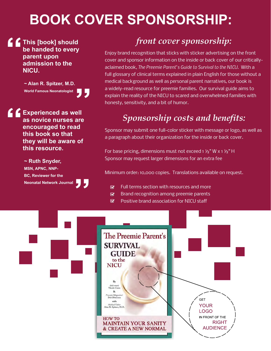## **BOOK COVER SPONSORSHIP:**

**This [book] should be handed to every parent upon admission to the NICU.**

> **~ Alan R. Spitzer, M.D. World Famous Neonatologist**

**Experienced as well as novice nurses are encouraged to read this book so that they will be aware of this resource.**

> **~ Ruth Snyder, MSN, APNC, NNP-BC, Reviewer for the Neonatal Network Journal**

### *front cover sponsorship:*

Enjoy brand recognition that sticks with sticker advertising on the front cover and sponsor information on the inside or back cover of our criticallyaclaimed book, *The Preemie Parent's Guide to Survival to the NICU*. With a full glossary of clinical terms explained in plain English for those without a medical background as well as personal parent narratives, our book is a widely-read resource for preemie families. Our survival guide aims to explain the reality of the NICU to scared and overwhelmed families with honesty, sensitivity, and a bit of humor.

### *Sponsorship costs and benefits:*

Sponsor may submit one full-color sticker with message or logo, as well as a paragraph about their organization for the inside or back cover.

For base pricing, dimensions must not exceed 1  $\frac{1}{2}$ " W x 1  $\frac{1}{2}$ " H Sponsor may request larger dimensions for an extra fee

Minimum order: 10,000 copies. Translations available on request.

- Full terms section with resources and more  $\overline{\mathbf{v}}$
- $\overline{\mathbf{S}}$ Brand recognition among preemie parents
- $\overline{\mathbf{S}}$ Positive brand association for NICU staff

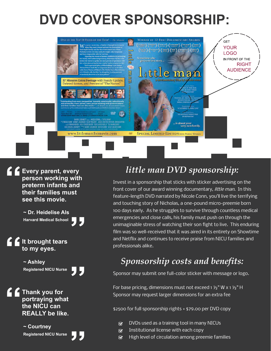# **DVD COVER SPONSORSHIP:**



**E** Every parent, every **person working with preterm infants and their families must see this movie.**

> **~ Dr. Heidelise Als Harvard Medical School**

### *<u>If it brought tears</u>* **to my eyes.**

**~ Ashley Registered NICU Nurse**

**Thank you for portraying what the NICU can REALLY be like.**

> **~ Courtney Registered NICU Nurse**

### *little man DVD sponsorship:*

Invest in a sponsorship that sticks with sticker advertising on the front cover of our award winning documentary, little man. In this feature-length DVD narrated by Nicole Conn, you'll live the terrifying and touching story of Nicholas, a one-pound micro-preemie born 100 days early. As he struggles to survive through countless medical emergencies and close calls, his family must push on through the unimaginable stress of watching their son fight to live. This enduring film was so well-received that it was aired in its entirety on Showtime and Netflix and continues to receive praise from NICU families and professionals alike.

### *Sponsorship costs and benefits:*

Sponsor may submit one full-color sticker with message or logo.

For base pricing, dimensions must not exceed 1  $\frac{1}{2}$ " W x 1  $\frac{1}{2}$ " H Sponsor may request larger dimensions for an extra fee

\$2500 for full sponsorship rights + \$79.00 per DVD copy

- DVDs used as a training tool in many NICUs  $\overline{\mathbf{M}}$
- Institutional license with each copy  $\overline{\mathbf{S}}$
- High level of circulation among preemie families  $\overline{\mathbf{v}}$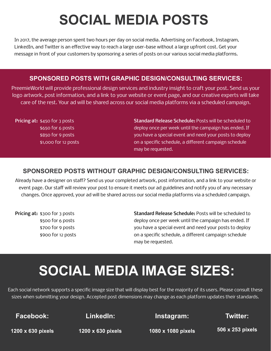# **SOCIAL MEDIA POSTS**

In 2017, the average person spent two hours per day on social media. Advertising on Facebook, Instagram, LinkedIn, and Twitter is an effective way to reach a large user-base without a large upfront cost. Get your message in front of your customers by sponsoring a series of posts on our various social media platforms.

#### **SPONSORED POSTS WITH GRAPHIC DESIGN/CONSULTING SERVICES:**

PreemieWorld will provide professional design services and industry insight to craft your post. Send us your logo artwork, post information, and a link to your website or event page, and our creative experts will take care of the rest. Your ad will be shared across our social media platforms via a scheduled campaign.

Pricing at: \$450 for 3 posts \$650 for 6 posts \$850 for 9 posts \$1,000 for 12 posts Standard Release Schedule: Posts will be scheduled to deploy once per week until the campaign has ended. If you have a special event and need your posts to deploy on a specific schedule, a different campaign schedule may be requested.

#### **SPONSORED POSTS WITHOUT GRAPHIC DESIGN/CONSULTING SERVICES:**

Already have a designer on staff? Send us your completed artwork, post information, and a link to your website or event page. Our staff will review your post to ensure it meets our ad guidelines and notify you of any necessary changes. Once approved, your ad will be shared across our social media platforms via a scheduled campaign.

Pricing at: \$300 for 3 posts \$500 for 6 posts \$700 for 9 posts \$900 for 12 posts

Standard Release Schedule: Posts will be scheduled to deploy once per week until the campaign has ended. If you have a special event and need your posts to deploy on a specific schedule, a different campaign schedule may be requested.

### **SOCIAL MEDIA IMAGE SIZES:**

Each social network supports a specific image size that will display best for the majority of its users. Please consult these sizes when submitting your design. Accepted post dimensions may change as each platform updates their standards.

**Facebook: LinkedIn: Instagram: Twitter:**

**1200 x 630 pixels 1200 x 630 pixels 1080 x 1080 pixels 506 x 253 pixels**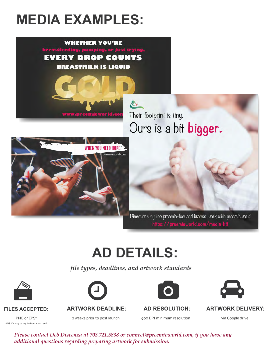

Their footprint is tiny. Ours is a bit bigger.





### **AD DETAILS:**

*file types, deadlines, and artwork standards*









PNG or EPS\* 2 weeks prior to post launch 600 DPI minimum resolution via Google drive



**ARTWORK DELIVERY:** 

**FILES ACCEPTED:** 

*\*EPS files may be required for certain needs*

**ARTWORK DEADLINE:** 

*additional questions regarding preparing artwork for submission.*

*Please contact Deb Discenza at 703.721.5838 or [connect@preemieworld.com](mailto:connect%40preemieworld.com?subject=PreemieWorld%20Artwork%20Submission%20Questions), if you have any*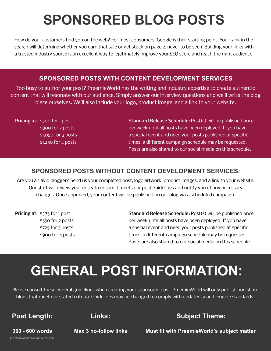# **SPONSORED BLOG POSTS**

How do your customers find you on the web? For most consumers, Google is their starting point. Your rank in the search will determine whether you earn that sale or get stuck on page 2, never to be seen. Building your links with a trusted industry source is an excellent way to legitimately improve your SEO score and reach the right audience.

#### **SPONSORED POSTS WITH CONTENT DEVELOPMENT SERVICES**

Too busy to author your post? PreemieWorld has the writing and industry expertise to create authentic content that will resonate with our audience. Simply answer our interview questions and we'll write the blog piece ourselves. We'll also include your logo, product image, and a link to your website.

Pricing at: \$500 for 1 post \$800 for 2 posts \$1,050 for 3 posts \$1,250 for 4 posts

Standard Release Schedule: Post(s) will be published once per week until all posts have been deployed. If you have a special event and need your posts published at specific times, a different campaign schedule may be requested. Posts are also shared to our social media on this schedule.

#### **SPONSORED POSTS WITHOUT CONTENT DEVELOPMENT SERVICES:**

Are you an avid blogger? Send us your completed post, logo artwork, product images, and a link to your website. Our staff will review your entry to ensure it meets our post guidelines and notify you of any necessary changes. Once approved, your content will be published on our blog via a scheduled campaign.

Pricing at: \$375 for 1 post \$550 for 2 posts \$725 for 3 posts \$900 for 4 posts Standard Release Schedule: Post(s) will be published once per week until all posts have been deployed. If you have a special event and need your posts published at specific times, a different campaign schedule may be requested. Posts are also shared to our social media on this schedule.

### **GENERAL POST INFORMATION:**

Please consult these general guidelines when creating your sponsored post. PreemieWorld will only publish and share blogs that meet our stated criteria. Guidelines may be changed to comply with updated search engine standards.

### **Post Length: Links: Subject Theme: Post Length: CO**

**300 - 600 words Max 3 no-follow links Must fit with PreemieWorld's subject matter**

*Exceptions considered on case-by-case basis*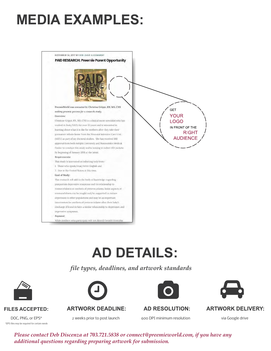

### **AD DETAILS:**

*file types, deadlines, and artwork standards*







#### **AD RESOLUTION:**

**ARTWORK DELIVERY:** 

### *\*EPS files may be required for certain needs*

**FILES ACCEPTED:** 

**ARTWORK DEADLINE:** DOC, PNG, or EPS\* 2 weeks prior to post launch 600 DPI minimum resolution via Google drive

*Please contact Deb Discenza at 703.721.5838 or [connect@preemieworld.com](mailto:connect%40preemieworld.com?subject=PreemieWorld%20Artwork%20Submission%20Questions), if you have any additional questions regarding preparing artwork for submission.*